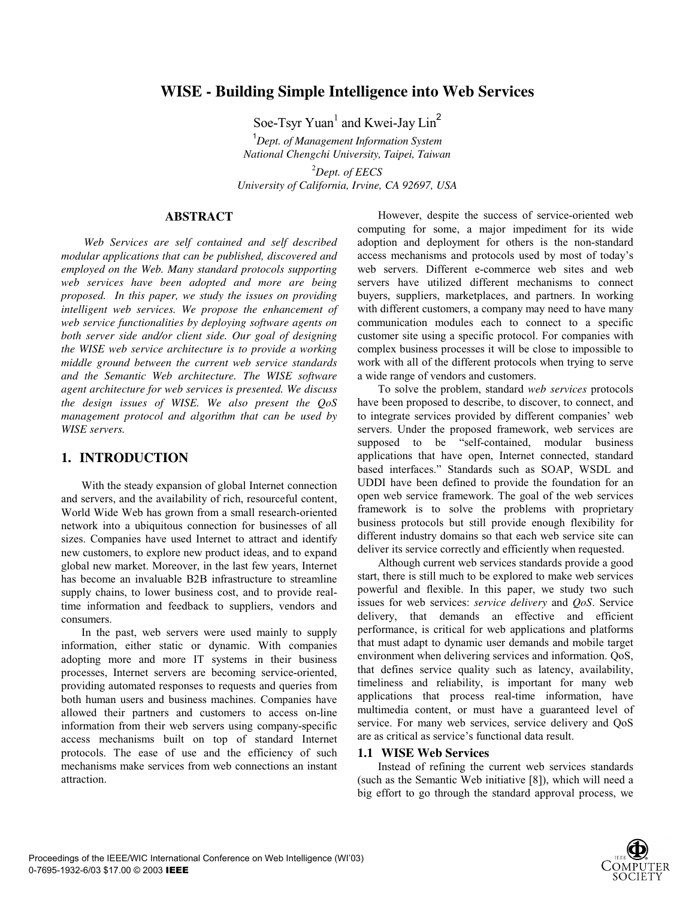# **WISE - Building Simple Intelligence into Web Services**

Soe-Tsyr  $Yuan<sup>1</sup>$  and Kwei-Jay  $Lin<sup>2</sup>$ 

1 *Dept. of Management Information System National Chengchi University, Taipei, Taiwan*  2 *Dept. of EECS University of California, Irvine, CA 92697, USA*

## **ABSTRACT**

*Web Services are self contained and self described modular applications that can be published, discovered and employed on the Web. Many standard protocols supporting web services have been adopted and more are being proposed. In this paper, we study the issues on providing intelligent web services. We propose the enhancement of web service functionalities by deploying software agents on both server side and/or client side. Our goal of designing the WISE web service architecture is to provide a working middle ground between the current web service standards and the Semantic Web architecture. The WISE software agent architecture for web services is presented. We discuss the design issues of WISE. We also present the QoS management protocol and algorithm that can be used by WISE servers.* 

## **1. INTRODUCTION**

With the steady expansion of global Internet connection and servers, and the availability of rich, resourceful content, World Wide Web has grown from a small research-oriented network into a ubiquitous connection for businesses of all sizes. Companies have used Internet to attract and identify new customers, to explore new product ideas, and to expand global new market. Moreover, in the last few years, Internet has become an invaluable B2B infrastructure to streamline supply chains, to lower business cost, and to provide realtime information and feedback to suppliers, vendors and consumers.

In the past, web servers were used mainly to supply information, either static or dynamic. With companies adopting more and more IT systems in their business processes, Internet servers are becoming service-oriented, providing automated responses to requests and queries from both human users and business machines. Companies have allowed their partners and customers to access on-line information from their web servers using company-specific access mechanisms built on top of standard Internet protocols. The ease of use and the efficiency of such mechanisms make services from web connections an instant attraction.

However, despite the success of service-oriented web computing for some, a major impediment for its wide adoption and deployment for others is the non-standard access mechanisms and protocols used by most of today's web servers. Different e-commerce web sites and web servers have utilized different mechanisms to connect buyers, suppliers, marketplaces, and partners. In working with different customers, a company may need to have many communication modules each to connect to a specific customer site using a specific protocol. For companies with complex business processes it will be close to impossible to work with all of the different protocols when trying to serve a wide range of vendors and customers.

To solve the problem, standard *web services* protocols have been proposed to describe, to discover, to connect, and to integrate services provided by different companies' web servers. Under the proposed framework, web services are supposed to be "self-contained, modular business applications that have open, Internet connected, standard based interfaces." Standards such as SOAP, WSDL and UDDI have been defined to provide the foundation for an open web service framework. The goal of the web services framework is to solve the problems with proprietary business protocols but still provide enough flexibility for different industry domains so that each web service site can deliver its service correctly and efficiently when requested.

Although current web services standards provide a good start, there is still much to be explored to make web services powerful and flexible. In this paper, we study two such issues for web services: *service delivery* and *QoS*. Service delivery, that demands an effective and efficient performance, is critical for web applications and platforms that must adapt to dynamic user demands and mobile target environment when delivering services and information. QoS, that defines service quality such as latency, availability, timeliness and reliability, is important for many web applications that process real-time information, have multimedia content, or must have a guaranteed level of service. For many web services, service delivery and OoS are as critical as service's functional data result.

### **1.1 WISE Web Services**

Instead of refining the current web services standards (such as the Semantic Web initiative [8]), which will need a big effort to go through the standard approval process, we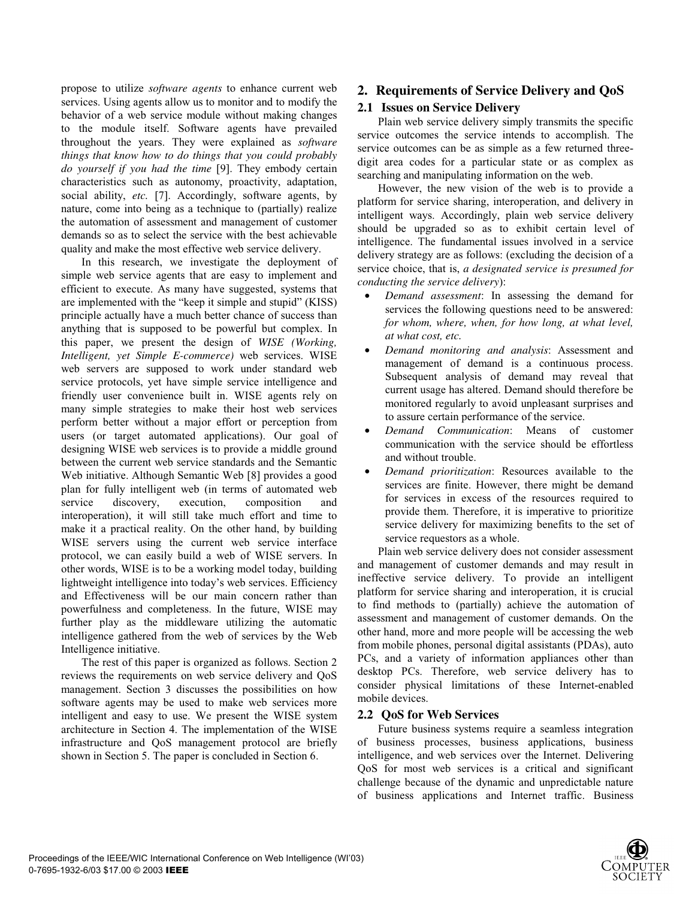propose to utilize *software agents* to enhance current web services. Using agents allow us to monitor and to modify the behavior of a web service module without making changes to the module itself. Software agents have prevailed throughout the years. They were explained as *software things that know how to do things that you could probably do yourself if you had the time* [9]. They embody certain characteristics such as autonomy, proactivity, adaptation, social ability, *etc.* [7]. Accordingly, software agents, by nature, come into being as a technique to (partially) realize the automation of assessment and management of customer demands so as to select the service with the best achievable quality and make the most effective web service delivery.

In this research, we investigate the deployment of simple web service agents that are easy to implement and efficient to execute. As many have suggested, systems that are implemented with the "keep it simple and stupid" (KISS) principle actually have a much better chance of success than anything that is supposed to be powerful but complex. In this paper, we present the design of *WISE (Working, Intelligent, yet Simple E-commerce)* web services. WISE web servers are supposed to work under standard web service protocols, yet have simple service intelligence and friendly user convenience built in. WISE agents rely on many simple strategies to make their host web services perform better without a major effort or perception from users (or target automated applications). Our goal of designing WISE web services is to provide a middle ground between the current web service standards and the Semantic Web initiative. Although Semantic Web [8] provides a good plan for fully intelligent web (in terms of automated web service discovery, execution, composition and interoperation), it will still take much effort and time to make it a practical reality. On the other hand, by building WISE servers using the current web service interface protocol, we can easily build a web of WISE servers. In other words, WISE is to be a working model today, building lightweight intelligence into today's web services. Efficiency and Effectiveness will be our main concern rather than powerfulness and completeness. In the future, WISE may further play as the middleware utilizing the automatic intelligence gathered from the web of services by the Web Intelligence initiative.

The rest of this paper is organized as follows. Section 2 reviews the requirements on web service delivery and QoS management. Section 3 discusses the possibilities on how software agents may be used to make web services more intelligent and easy to use. We present the WISE system architecture in Section 4. The implementation of the WISE infrastructure and QoS management protocol are briefly shown in Section 5. The paper is concluded in Section 6.

# **2. Requirements of Service Delivery and QoS**

## **2.1 Issues on Service Delivery**

Plain web service delivery simply transmits the specific service outcomes the service intends to accomplish. The service outcomes can be as simple as a few returned threedigit area codes for a particular state or as complex as searching and manipulating information on the web.

However, the new vision of the web is to provide a platform for service sharing, interoperation, and delivery in intelligent ways. Accordingly, plain web service delivery should be upgraded so as to exhibit certain level of intelligence. The fundamental issues involved in a service delivery strategy are as follows: (excluding the decision of a service choice, that is, *a designated service is presumed for conducting the service delivery*):

- *Demand assessment*: In assessing the demand for services the following questions need to be answered: *for whom, where, when, for how long, at what level, at what cost, etc.*
- *Demand monitoring and analysis*: Assessment and management of demand is a continuous process. Subsequent analysis of demand may reveal that current usage has altered. Demand should therefore be monitored regularly to avoid unpleasant surprises and to assure certain performance of the service.
- *Demand Communication*: Means of customer communication with the service should be effortless and without trouble.
- *Demand prioritization*: Resources available to the services are finite. However, there might be demand for services in excess of the resources required to provide them. Therefore, it is imperative to prioritize service delivery for maximizing benefits to the set of service requestors as a whole.

Plain web service delivery does not consider assessment and management of customer demands and may result in ineffective service delivery. To provide an intelligent platform for service sharing and interoperation, it is crucial to find methods to (partially) achieve the automation of assessment and management of customer demands. On the other hand, more and more people will be accessing the web from mobile phones, personal digital assistants (PDAs), auto PCs, and a variety of information appliances other than desktop PCs. Therefore, web service delivery has to consider physical limitations of these Internet-enabled mobile devices.

## **2.2 QoS for Web Services**

Future business systems require a seamless integration of business processes, business applications, business intelligence, and web services over the Internet. Delivering QoS for most web services is a critical and significant challenge because of the dynamic and unpredictable nature of business applications and Internet traffic. Business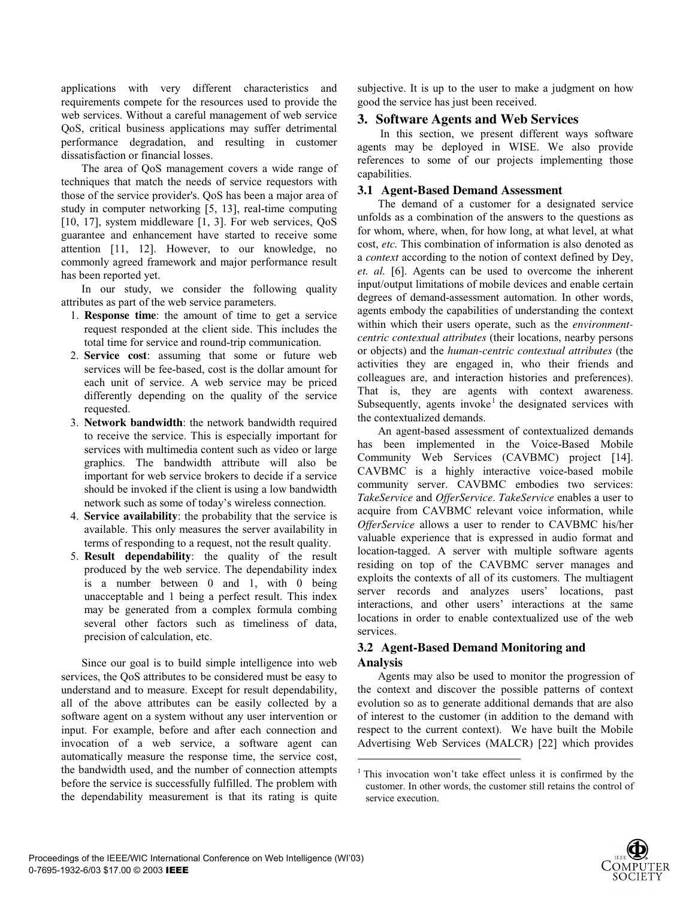applications with very different characteristics and requirements compete for the resources used to provide the web services. Without a careful management of web service QoS, critical business applications may suffer detrimental performance degradation, and resulting in customer dissatisfaction or financial losses.

The area of QoS management covers a wide range of techniques that match the needs of service requestors with those of the service provider's. QoS has been a major area of study in computer networking [5, 13], real-time computing [10, 17], system middleware [1, 3]. For web services, QoS guarantee and enhancement have started to receive some attention [11, 12]. However, to our knowledge, no commonly agreed framework and major performance result has been reported yet.

In our study, we consider the following quality attributes as part of the web service parameters.

- 1. **Response time**: the amount of time to get a service request responded at the client side. This includes the total time for service and round-trip communication.
- 2. **Service cost**: assuming that some or future web services will be fee-based, cost is the dollar amount for each unit of service. A web service may be priced differently depending on the quality of the service requested.
- 3. **Network bandwidth**: the network bandwidth required to receive the service. This is especially important for services with multimedia content such as video or large graphics. The bandwidth attribute will also be important for web service brokers to decide if a service should be invoked if the client is using a low bandwidth network such as some of today's wireless connection.
- 4. **Service availability**: the probability that the service is available. This only measures the server availability in terms of responding to a request, not the result quality.
- 5. **Result dependability**: the quality of the result produced by the web service. The dependability index is a number between 0 and 1, with 0 being unacceptable and 1 being a perfect result. This index may be generated from a complex formula combing several other factors such as timeliness of data, precision of calculation, etc.

Since our goal is to build simple intelligence into web services, the QoS attributes to be considered must be easy to understand and to measure. Except for result dependability, all of the above attributes can be easily collected by a software agent on a system without any user intervention or input. For example, before and after each connection and invocation of a web service, a software agent can automatically measure the response time, the service cost, the bandwidth used, and the number of connection attempts before the service is successfully fulfilled. The problem with the dependability measurement is that its rating is quite subjective. It is up to the user to make a judgment on how good the service has just been received.

# **3. Software Agents and Web Services**

In this section, we present different ways software agents may be deployed in WISE. We also provide references to some of our projects implementing those capabilities.

## **3.1 Agent-Based Demand Assessment**

The demand of a customer for a designated service unfolds as a combination of the answers to the questions as for whom, where, when, for how long, at what level, at what cost, *etc.* This combination of information is also denoted as a *context* according to the notion of context defined by Dey, *et. al.* [6]. Agents can be used to overcome the inherent input/output limitations of mobile devices and enable certain degrees of demand-assessment automation. In other words, agents embody the capabilities of understanding the context within which their users operate, such as the *environmentcentric contextual attributes* (their locations, nearby persons or objects) and the *human-centric contextual attributes* (the activities they are engaged in, who their friends and colleagues are, and interaction histories and preferences). That is, they are agents with context awareness. Subsequently, agents invoke<sup>1</sup> the designated services with the contextualized demands.

An agent-based assessment of contextualized demands has been implemented in the Voice-Based Mobile Community Web Services (CAVBMC) project [14]. CAVBMC is a highly interactive voice-based mobile community server. CAVBMC embodies two services: *TakeService* and *OfferService*. *TakeService* enables a user to acquire from CAVBMC relevant voice information, while *OfferService* allows a user to render to CAVBMC his/her valuable experience that is expressed in audio format and location-tagged. A server with multiple software agents residing on top of the CAVBMC server manages and exploits the contexts of all of its customers. The multiagent server records and analyzes users' locations, past interactions, and other users' interactions at the same locations in order to enable contextualized use of the web services.

# **3.2 Agent-Based Demand Monitoring and Analysis**

j

Agents may also be used to monitor the progression of the context and discover the possible patterns of context evolution so as to generate additional demands that are also of interest to the customer (in addition to the demand with respect to the current context). We have built the Mobile Advertising Web Services (MALCR) [22] which provides

<sup>&</sup>lt;sup>1</sup> This invocation won't take effect unless it is confirmed by the customer. In other words, the customer still retains the control of service execution.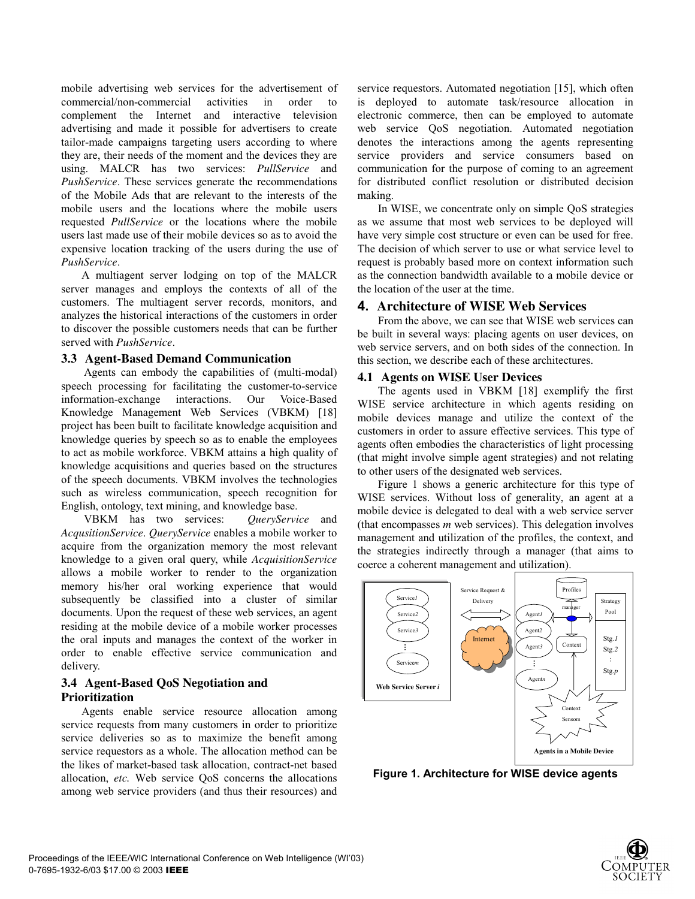mobile advertising web services for the advertisement of commercial/non-commercial activities in order to complement the Internet and interactive television advertising and made it possible for advertisers to create tailor-made campaigns targeting users according to where they are, their needs of the moment and the devices they are using. MALCR has two services: *PullService* and *PushService*. These services generate the recommendations of the Mobile Ads that are relevant to the interests of the mobile users and the locations where the mobile users requested *PullService* or the locations where the mobile users last made use of their mobile devices so as to avoid the expensive location tracking of the users during the use of *PushService*.

A multiagent server lodging on top of the MALCR server manages and employs the contexts of all of the customers. The multiagent server records, monitors, and analyzes the historical interactions of the customers in order to discover the possible customers needs that can be further served with *PushService*.

## **3.3 Agent-Based Demand Communication**

Agents can embody the capabilities of (multi-modal) speech processing for facilitating the customer-to-service information-exchange interactions. Our Voice-Based Knowledge Management Web Services (VBKM) [18] project has been built to facilitate knowledge acquisition and knowledge queries by speech so as to enable the employees to act as mobile workforce. VBKM attains a high quality of knowledge acquisitions and queries based on the structures of the speech documents. VBKM involves the technologies such as wireless communication, speech recognition for English, ontology, text mining, and knowledge base.

VBKM has two services: *QueryService* and *AcqusitionService*. *QueryService* enables a mobile worker to acquire from the organization memory the most relevant knowledge to a given oral query, while *AcquisitionService* allows a mobile worker to render to the organization memory his/her oral working experience that would subsequently be classified into a cluster of similar documents. Upon the request of these web services, an agent residing at the mobile device of a mobile worker processes the oral inputs and manages the context of the worker in order to enable effective service communication and delivery.

## **3.4 Agent-Based QoS Negotiation and Prioritization**

Agents enable service resource allocation among service requests from many customers in order to prioritize service deliveries so as to maximize the benefit among service requestors as a whole. The allocation method can be the likes of market-based task allocation, contract-net based allocation, *etc.* Web service QoS concerns the allocations among web service providers (and thus their resources) and service requestors. Automated negotiation [15], which often is deployed to automate task/resource allocation in electronic commerce, then can be employed to automate web service QoS negotiation. Automated negotiation denotes the interactions among the agents representing service providers and service consumers based on communication for the purpose of coming to an agreement for distributed conflict resolution or distributed decision making.

In WISE, we concentrate only on simple QoS strategies as we assume that most web services to be deployed will have very simple cost structure or even can be used for free. The decision of which server to use or what service level to request is probably based more on context information such as the connection bandwidth available to a mobile device or the location of the user at the time.

# **4. Architecture of WISE Web Services**

From the above, we can see that WISE web services can be built in several ways: placing agents on user devices, on web service servers, and on both sides of the connection. In this section, we describe each of these architectures.

# **4.1 Agents on WISE User Devices**

The agents used in VBKM [18] exemplify the first WISE service architecture in which agents residing on mobile devices manage and utilize the context of the customers in order to assure effective services. This type of agents often embodies the characteristics of light processing (that might involve simple agent strategies) and not relating to other users of the designated web services.

Figure 1 shows a generic architecture for this type of WISE services. Without loss of generality, an agent at a mobile device is delegated to deal with a web service server (that encompasses *m* web services). This delegation involves management and utilization of the profiles, the context, and the strategies indirectly through a manager (that aims to coerce a coherent management and utilization).



**Figure 1. Architecture for WISE device agents**

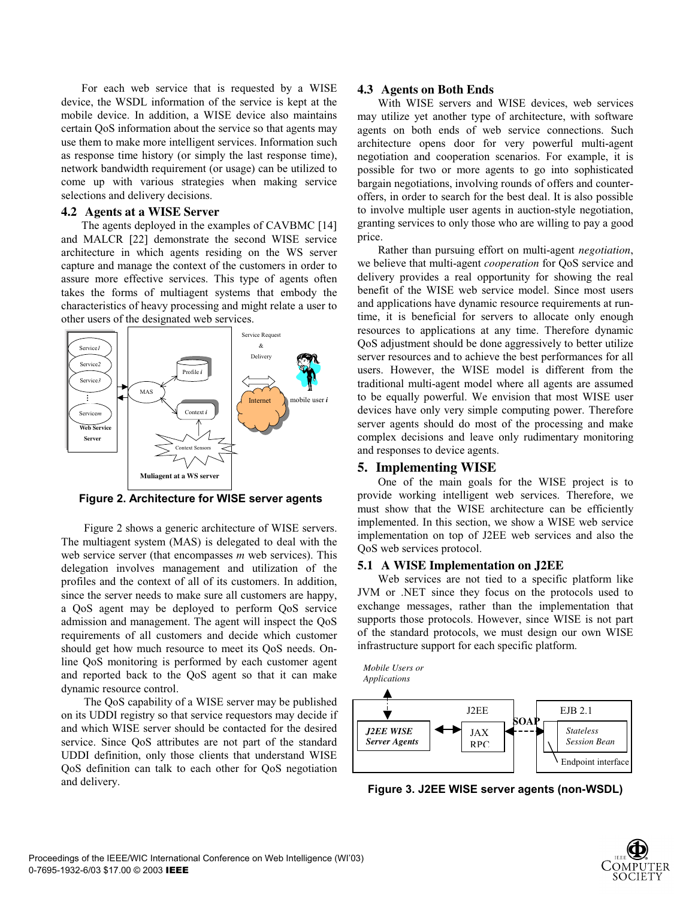For each web service that is requested by a WISE device, the WSDL information of the service is kept at the mobile device. In addition, a WISE device also maintains certain QoS information about the service so that agents may use them to make more intelligent services. Information such as response time history (or simply the last response time), network bandwidth requirement (or usage) can be utilized to come up with various strategies when making service selections and delivery decisions.

### **4.2 Agents at a WISE Server**

The agents deployed in the examples of CAVBMC [14] and MALCR [22] demonstrate the second WISE service architecture in which agents residing on the WS server capture and manage the context of the customers in order to assure more effective services. This type of agents often takes the forms of multiagent systems that embody the characteristics of heavy processing and might relate a user to other users of the designated web services.



 **Figure 2. Architecture for WISE server agents**

Figure 2 shows a generic architecture of WISE servers. The multiagent system (MAS) is delegated to deal with the web service server (that encompasses *m* web services). This delegation involves management and utilization of the profiles and the context of all of its customers. In addition, since the server needs to make sure all customers are happy, a QoS agent may be deployed to perform QoS service admission and management. The agent will inspect the QoS requirements of all customers and decide which customer should get how much resource to meet its QoS needs. Online QoS monitoring is performed by each customer agent and reported back to the QoS agent so that it can make dynamic resource control.

The QoS capability of a WISE server may be published on its UDDI registry so that service requestors may decide if and which WISE server should be contacted for the desired service. Since QoS attributes are not part of the standard UDDI definition, only those clients that understand WISE QoS definition can talk to each other for QoS negotiation and delivery.

#### **4.3 Agents on Both Ends**

With WISE servers and WISE devices, web services may utilize yet another type of architecture, with software agents on both ends of web service connections. Such architecture opens door for very powerful multi-agent negotiation and cooperation scenarios. For example, it is possible for two or more agents to go into sophisticated bargain negotiations, involving rounds of offers and counteroffers, in order to search for the best deal. It is also possible to involve multiple user agents in auction-style negotiation, granting services to only those who are willing to pay a good price.

Rather than pursuing effort on multi-agent *negotiation*, we believe that multi-agent *cooperation* for QoS service and delivery provides a real opportunity for showing the real benefit of the WISE web service model. Since most users and applications have dynamic resource requirements at runtime, it is beneficial for servers to allocate only enough resources to applications at any time. Therefore dynamic QoS adjustment should be done aggressively to better utilize server resources and to achieve the best performances for all users. However, the WISE model is different from the traditional multi-agent model where all agents are assumed to be equally powerful. We envision that most WISE user devices have only very simple computing power. Therefore server agents should do most of the processing and make complex decisions and leave only rudimentary monitoring and responses to device agents.

## **5. Implementing WISE**

One of the main goals for the WISE project is to provide working intelligent web services. Therefore, we must show that the WISE architecture can be efficiently implemented. In this section, we show a WISE web service implementation on top of J2EE web services and also the QoS web services protocol.

### **5.1 A WISE Implementation on J2EE**

Web services are not tied to a specific platform like JVM or .NET since they focus on the protocols used to exchange messages, rather than the implementation that supports those protocols. However, since WISE is not part of the standard protocols, we must design our own WISE infrastructure support for each specific platform.





**Figure 3. J2EE WISE server agents (non-WSDL)** 

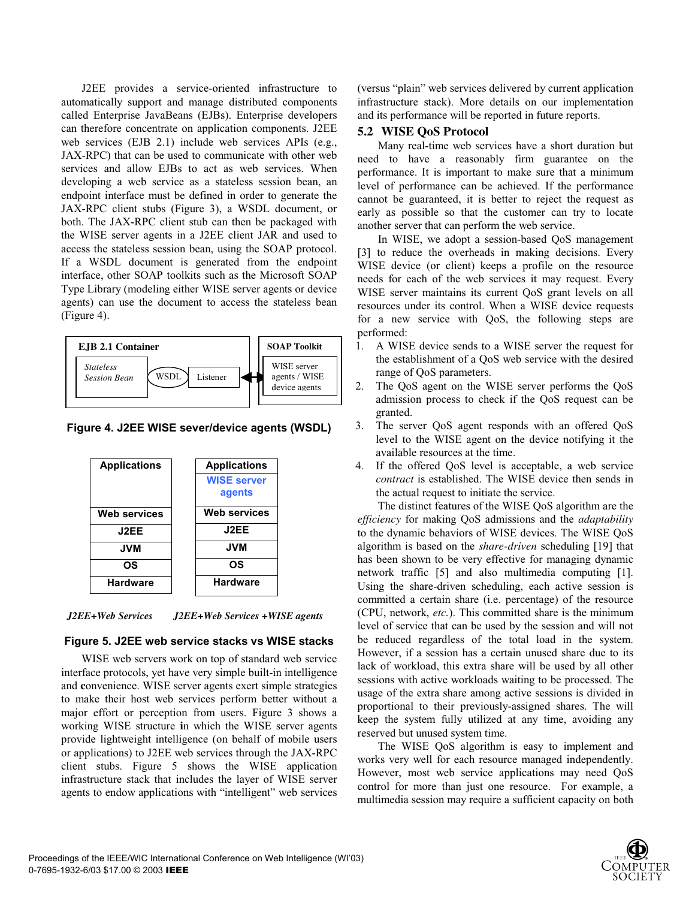J2EE provides a service-oriented infrastructure to automatically support and manage distributed components called Enterprise JavaBeans (EJBs). Enterprise developers can therefore concentrate on application components. J2EE web services (EJB 2.1) include web services APIs (e.g., JAX-RPC) that can be used to communicate with other web services and allow EJBs to act as web services. When developing a web service as a stateless session bean, an endpoint interface must be defined in order to generate the JAX-RPC client stubs (Figure 3), a WSDL document, or both. The JAX-RPC client stub can then be packaged with the WISE server agents in a J2EE client JAR and used to access the stateless session bean, using the SOAP protocol. If a WSDL document is generated from the endpoint interface, other SOAP toolkits such as the Microsoft SOAP Type Library (modeling either WISE server agents or device agents) can use the document to access the stateless bean (Figure 4).



**Figure 4. J2EE WISE sever/device agents (WSDL)**



*J2EE+Web Services J2EE+Web Services +WISE agents* 

## **Figure 5. J2EE web service stacks vs WISE stacks**

WISE web servers work on top of standard web service interface protocols, yet have very simple built-in intelligence and **c**onvenience. WISE server agents exert simple strategies to make their host web services perform better without a major effort or perception from users. Figure 3 shows a working WISE structure **i**n which the WISE server agents provide lightweight intelligence (on behalf of mobile users or applications) to J2EE web services through the JAX-RPC client stubs. Figure 5 shows the WISE application infrastructure stack that includes the layer of WISE server agents to endow applications with "intelligent" web services (versus "plain" web services delivered by current application infrastructure stack). More details on our implementation and its performance will be reported in future reports.

### **5.2 WISE QoS Protocol**

Many real-time web services have a short duration but need to have a reasonably firm guarantee on the performance. It is important to make sure that a minimum level of performance can be achieved. If the performance cannot be guaranteed, it is better to reject the request as early as possible so that the customer can try to locate another server that can perform the web service.

In WISE, we adopt a session-based QoS management [3] to reduce the overheads in making decisions. Every WISE device (or client) keeps a profile on the resource needs for each of the web services it may request. Every WISE server maintains its current QoS grant levels on all resources under its control. When a WISE device requests for a new service with QoS, the following steps are performed:

- 1. A WISE device sends to a WISE server the request for the establishment of a QoS web service with the desired range of QoS parameters.
- 2. The QoS agent on the WISE server performs the QoS admission process to check if the QoS request can be granted.
- 3. The server QoS agent responds with an offered QoS level to the WISE agent on the device notifying it the available resources at the time.
- 4. If the offered QoS level is acceptable, a web service *contract* is established. The WISE device then sends in the actual request to initiate the service.

The distinct features of the WISE QoS algorithm are the *efficiency* for making QoS admissions and the *adaptability* to the dynamic behaviors of WISE devices. The WISE QoS algorithm is based on the *share-driven* scheduling [19] that has been shown to be very effective for managing dynamic network traffic [5] and also multimedia computing [1]. Using the share-driven scheduling, each active session is committed a certain share (i.e. percentage) of the resource (CPU, network, *etc.*). This committed share is the minimum level of service that can be used by the session and will not be reduced regardless of the total load in the system. However, if a session has a certain unused share due to its lack of workload, this extra share will be used by all other sessions with active workloads waiting to be processed. The usage of the extra share among active sessions is divided in proportional to their previously-assigned shares. The will keep the system fully utilized at any time, avoiding any reserved but unused system time.

The WISE QoS algorithm is easy to implement and works very well for each resource managed independently. However, most web service applications may need QoS control for more than just one resource. For example, a multimedia session may require a sufficient capacity on both